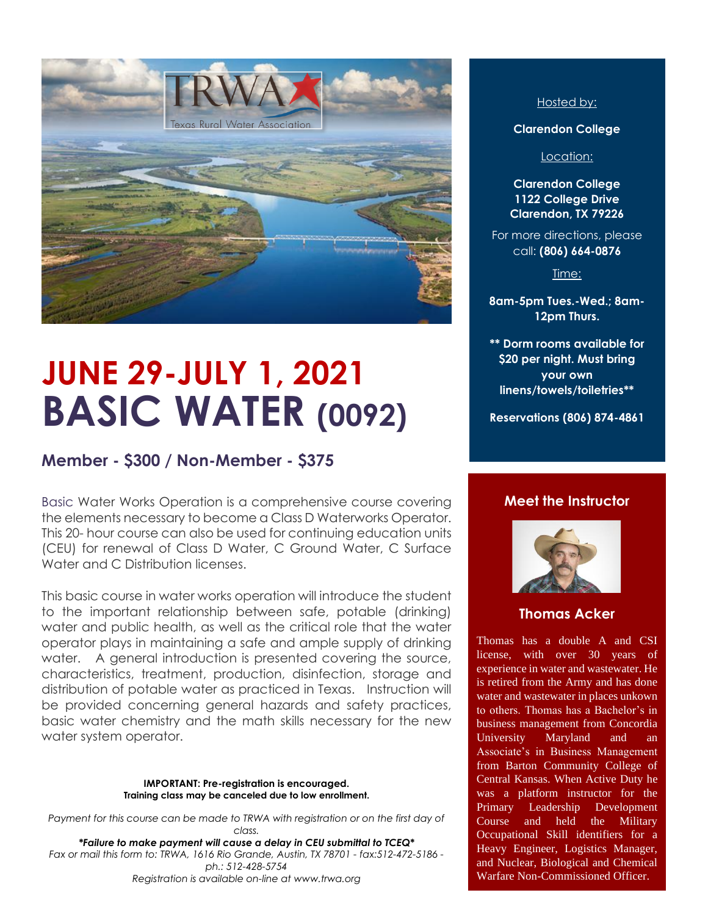

# **JUNE 29-JULY 1, 2021 BASIC WATER (0092)**

## **Member - \$300 / Non-Member - \$375**

Basic Water Works Operation is a comprehensive course covering the elements necessary to become a Class D Waterworks Operator. This 20- hour course can also be used for continuing education units (CEU) for renewal of Class D Water, C Ground Water, C Surface Water and C Distribution licenses.

This basic course in water works operation will introduce the student to the important relationship between safe, potable (drinking) water and public health, as well as the critical role that the water operator plays in maintaining a safe and ample supply of drinking water. A general introduction is presented covering the source, characteristics, treatment, production, disinfection, storage and distribution of potable water as practiced in Texas. Instruction will be provided concerning general hazards and safety practices, basic water chemistry and the math skills necessary for the new water system operator.

#### **IMPORTANT: Pre-registration is encouraged. Training class may be canceled due to low enrollment.**

Payment for this course can be made to TRWA with registration or on the first day of *class.*

*\*Failure to make payment will cause a delay in CEU submittal to TCEQ\* Fax or mail this form to: TRWA, 1616 Rio Grande, Austin, TX 78701 - fax:512-472-5186 ph.: 512-428-5754 Registration is available on-line at www.trwa.org*

#### Hosted by:

**Clarendon College**

Location:

**Clarendon College 1122 College Drive Clarendon, TX 79226**

For more directions, please call: **(806) 664-0876**

Time:

**8am-5pm Tues.-Wed.; 8am-12pm Thurs.**

**\*\* Dorm rooms available for \$20 per night. Must bring your own linens/towels/toiletries\*\***

**Reservations (806) 874-4861**

#### **Meet the Instructor**



#### **Thomas Acker**

Thomas has a double A and CSI license, with over 30 years of experience in water and wastewater. He is retired from the Army and has done water and wastewater in places unkown to others. Thomas has a Bachelor's in business management from Concordia University Maryland and an Associate's in Business Management from Barton Community College of Central Kansas. When Active Duty he was a platform instructor for the Primary Leadership Development Course and held the Military Occupational Skill identifiers for a Heavy Engineer, Logistics Manager, and Nuclear, Biological and Chemical Warfare Non-Commissioned Officer.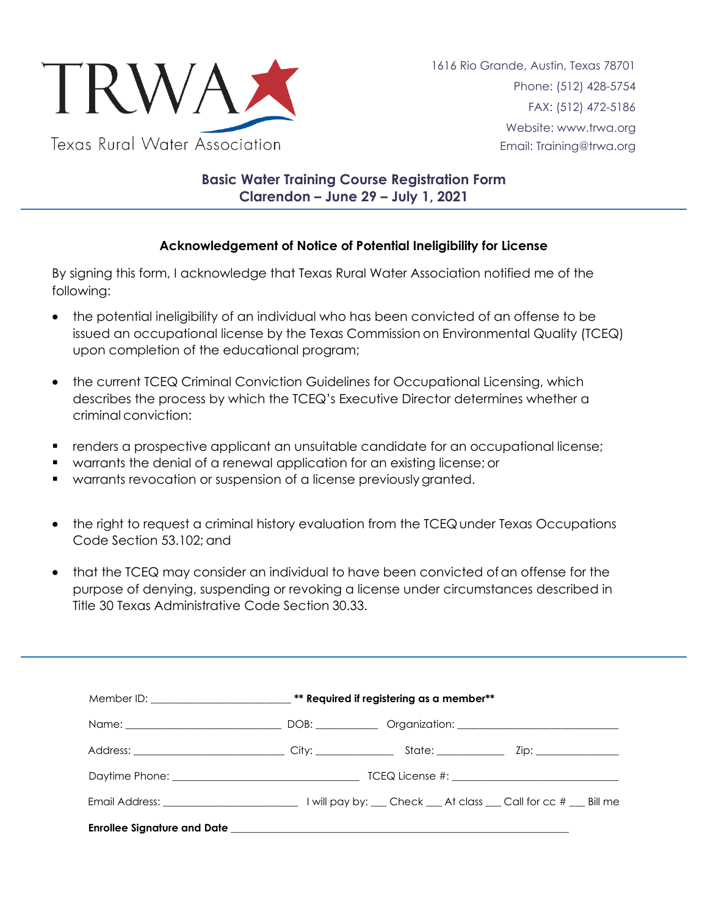

## **Basic Water Training Course Registration Form Clarendon – June 29 – July 1, 2021**

### **Acknowledgement of Notice of Potential Ineligibility for License**

By signing this form, I acknowledge that Texas Rural Water Association notified me of the following:

- the potential ineligibility of an individual who has been convicted of an offense to be issued an occupational license by the Texas Commission on Environmental Quality (TCEQ) upon completion of the educational program;
- the current TCEQ Criminal Conviction Guidelines for Occupational Licensing, which describes the process by which the TCEQ's Executive Director determines whether a criminal conviction:
- renders a prospective applicant an unsuitable candidate for an occupational license;
- warrants the denial of a renewal application for an existing license; or
- warrants revocation or suspension of a license previously granted.
- the right to request a criminal history evaluation from the TCEQ under Texas Occupations Code Section 53.102; and
- that the TCEQ may consider an individual to have been convicted of an offense for the purpose of denying, suspending or revoking a license under circumstances described in Title 30 Texas Administrative Code Section 30.33.

|                                                                                                                                                                                                                                | Member ID: ______________________________** Required if registering as a member** |  |  |
|--------------------------------------------------------------------------------------------------------------------------------------------------------------------------------------------------------------------------------|-----------------------------------------------------------------------------------|--|--|
|                                                                                                                                                                                                                                |                                                                                   |  |  |
|                                                                                                                                                                                                                                |                                                                                   |  |  |
|                                                                                                                                                                                                                                |                                                                                   |  |  |
|                                                                                                                                                                                                                                |                                                                                   |  |  |
| Enrollee Signature and Date that the control of the control of the control of the control of the control of the control of the control of the control of the control of the control of the control of the control of the contr |                                                                                   |  |  |